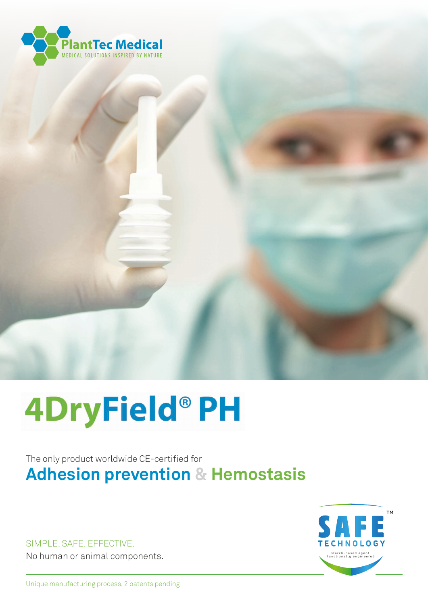

# **4DryField®PH**

# The only product worldwide CE-certified for **Adhesion prevention & Hemostasis**

SIMPLE. SAFE. EFFECTIVE. No human or animal components.



Unique manufacturing process, 2 patents pending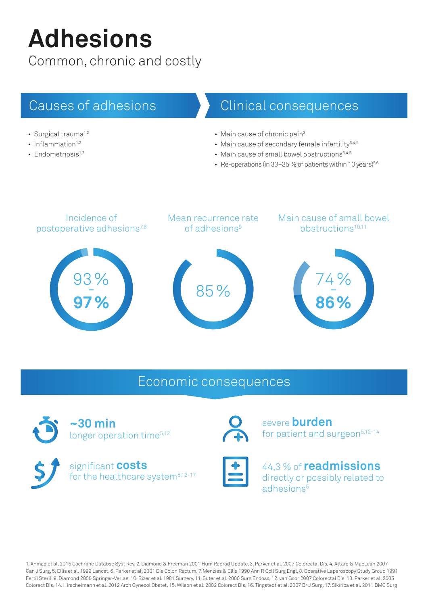# **Adhesions**

Common, chronic and costly

# Causes of adhesions

- $\cdot$  Surgical trauma<sup>1,2</sup>
- Inflammation $1,2$
- Endometriosis $1,2$

# Clinical consequences

- Main cause of chronic pain<sup>3</sup>
- Main cause of secondary female infertility<sup>3,4,5</sup>
- Main cause of small bowel obstructions<sup>3,4,5</sup>
- Re-operations (in 33-35 % of patients within 10 years) $5,6$



# Economic consequences







severe **burden** for patient and surgeon<sup>5,12-14</sup>



44,3 % of **readmissions** directly or possibly related to adhesions<sup>5</sup>

1. Ahmad et al. 2015 Cochrane Databse Syst Rev, 2. Diamond & Freeman 2001 Hum Reprod Update, 3. Parker et al. 2007 Colorectal Dis, 4. Attard & MacLean 2007 Can J Surg, 5. Ellis et al. 1999 Lancet, 6. Parker et al. 2001 Dis Colon Rectum, 7. Menzies & Ellis 1990 Ann R Coll Surg Engl, 8. Operative Laparoscopy Study Group 1991 Fertil Steril, 9. Diamond 2000 Springer-Verlag, 10. Bizer et al. 1981 Surgery, 11. Suter et al. 2000 Surg Endosc, 12. van Goor 2007 Colorectal Dis, 13. Parker et al. 2005 Colorect Dis, 14. Hirschelmann et al. 2012 Arch Gynecol Obstet, 15. Wilson et al. 2002 Colorect Dis, 16. Tingstedt et al. 2007 Br J Surg, 17. Sikirica et al. 2011 BMC Surg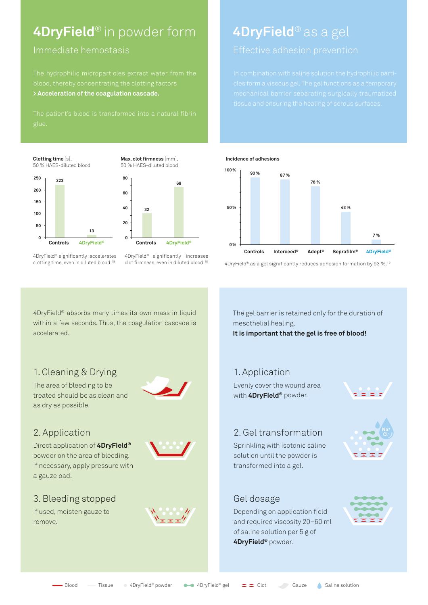# **4DryField**® in powder form

#### Immediate hemostasis

**> Acceleration of the coagulation cascade.**

**Clotting time** [s], 50 % HAES-diluted blood





**Max. clot firmness** [mm], 50 % HAES-diluted blood

- 4DryField® significantly accelerates clotting time, even in diluted blood. 18
- 4DryField® significantly increases clot firmness, even in diluted blood.18

# **4DryField**® as a gel



4DryField® as a gel significantly reduces adhesion formation by 93 %.19

4DryField® absorbs many times its own mass in liquid within a few seconds. Thus, the coagulation cascade is accelerated.

### 1. Cleaning & Drying 1. Application

The area of bleeding to be treated should be as clean and as dry as possible.



### 2. Application

Direct application of **4DryField®** powder on the area of bleeding. If necessary, apply pressure with a gauze pad.



### 3. Bleeding stopped

If used, moisten gauze to remove.



The gel barrier is retained only for the duration of mesothelial healing.

**It is important that the gel is free of blood!**

Evenly cover the wound area with **4DryField®** powder.



### 2. Gel transformation

Sprinkling with isotonic saline solution until the powder is transformed into a gel.

### Gel dosage

Depending on application field and required viscosity 20–60 ml of saline solution per 5 g of **4DryField®** powder.